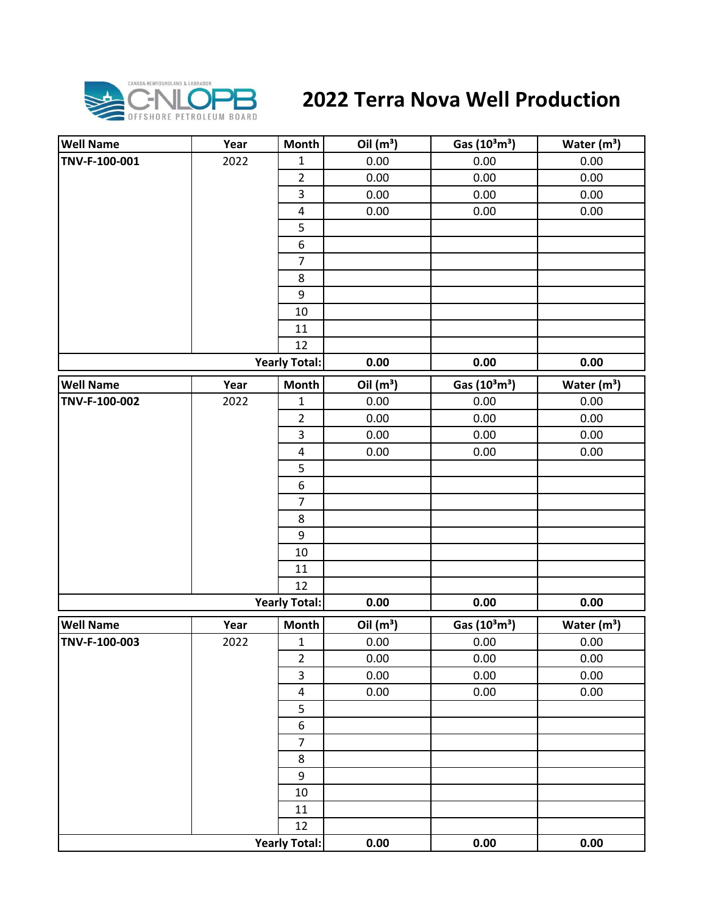

## **2022 Terra Nova Well Production**

| <b>Well Name</b> | Year | <b>Month</b>            | Oil $(m^3)$ | Gas (10 <sup>3</sup> m <sup>3</sup> ) | Water $(m3)$  |
|------------------|------|-------------------------|-------------|---------------------------------------|---------------|
| TNV-F-100-001    | 2022 | $\mathbf 1$             | 0.00        | 0.00                                  | 0.00          |
|                  |      | $\overline{2}$          | 0.00        | 0.00                                  | 0.00          |
|                  |      | 3                       | 0.00        | 0.00                                  | 0.00          |
|                  |      | $\overline{\mathbf{4}}$ | 0.00        | 0.00                                  | 0.00          |
|                  |      | 5                       |             |                                       |               |
|                  |      | $\boldsymbol{6}$        |             |                                       |               |
|                  |      | $\overline{7}$          |             |                                       |               |
|                  |      | 8                       |             |                                       |               |
|                  |      | $\boldsymbol{9}$        |             |                                       |               |
|                  |      | 10                      |             |                                       |               |
|                  |      | 11                      |             |                                       |               |
|                  |      | 12                      |             |                                       |               |
|                  |      | <b>Yearly Total:</b>    | 0.00        | 0.00                                  | 0.00          |
| <b>Well Name</b> | Year | <b>Month</b>            | Oil $(m^3)$ | Gas (10 <sup>3</sup> m <sup>3</sup> ) | Water $(m3)$  |
| TNV-F-100-002    | 2022 | $\mathbf 1$             | 0.00        | 0.00                                  | 0.00          |
|                  |      | $\overline{2}$          | 0.00        | 0.00                                  | 0.00          |
|                  |      | $\mathsf{3}$            | 0.00        | 0.00                                  | 0.00          |
|                  |      | $\pmb{4}$               | 0.00        | 0.00                                  | 0.00          |
|                  |      | 5                       |             |                                       |               |
|                  |      | $\boldsymbol{6}$        |             |                                       |               |
|                  |      | $\overline{7}$          |             |                                       |               |
|                  |      | 8                       |             |                                       |               |
|                  |      | 9                       |             |                                       |               |
|                  |      | 10                      |             |                                       |               |
|                  |      | 11                      |             |                                       |               |
|                  |      | 12                      |             |                                       |               |
|                  |      | <b>Yearly Total:</b>    | 0.00        | 0.00                                  | 0.00          |
| <b>Well Name</b> | Year | <b>Month</b>            | Oil $(m^3)$ | Gas (10 <sup>3</sup> m <sup>3</sup> ) | Water $(m^3)$ |
| TNV-F-100-003    | 2022 | $\mathbf{1}$            | 0.00        | 0.00                                  | 0.00          |
|                  |      | $\overline{2}$          | 0.00        | 0.00                                  | 0.00          |
|                  |      | 3                       | 0.00        | 0.00                                  | 0.00          |
|                  |      | $\overline{\mathbf{4}}$ | 0.00        | 0.00                                  | 0.00          |
|                  |      | 5                       |             |                                       |               |
|                  |      | $\boldsymbol{6}$        |             |                                       |               |
|                  |      | $\overline{7}$          |             |                                       |               |
|                  |      | 8                       |             |                                       |               |
|                  |      | 9                       |             |                                       |               |
|                  |      | $10\,$                  |             |                                       |               |
|                  |      | 11                      |             |                                       |               |
|                  |      | 12                      |             |                                       |               |
|                  |      | <b>Yearly Total:</b>    | 0.00        | 0.00                                  | 0.00          |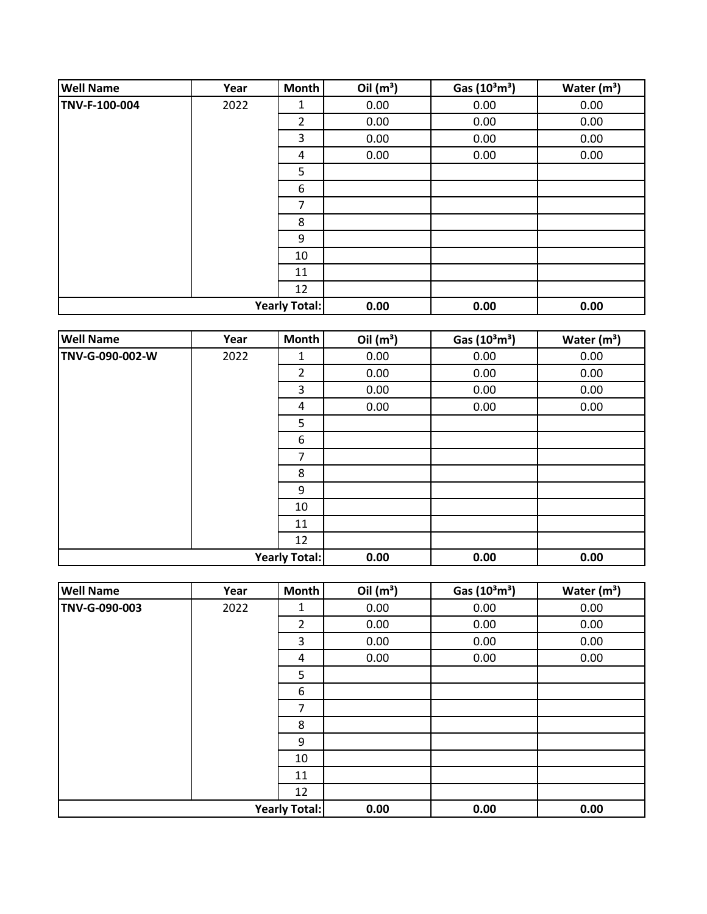| <b>Well Name</b> | Year | Month                | Oil $(m^3)$ | Gas (10 <sup>3</sup> m <sup>3</sup> ) | Water $(m3)$ |
|------------------|------|----------------------|-------------|---------------------------------------|--------------|
| TNV-F-100-004    | 2022 | 1                    | 0.00        | 0.00                                  | 0.00         |
|                  |      | $\overline{2}$       | 0.00        | 0.00                                  | 0.00         |
|                  |      | 3                    | 0.00        | 0.00                                  | 0.00         |
|                  |      | 4                    | 0.00        | 0.00                                  | 0.00         |
|                  |      | 5                    |             |                                       |              |
|                  |      | 6                    |             |                                       |              |
|                  |      | 7                    |             |                                       |              |
|                  |      | 8                    |             |                                       |              |
|                  |      | 9                    |             |                                       |              |
|                  |      | 10                   |             |                                       |              |
|                  |      | 11                   |             |                                       |              |
|                  |      | 12                   |             |                                       |              |
|                  |      | <b>Yearly Total:</b> | 0.00        | 0.00                                  | 0.00         |

| <b>Well Name</b>     | Year | Month          | Oil $(m^3)$ | Gas (10 <sup>3</sup> m <sup>3</sup> ) | Water $(m^3)$ |
|----------------------|------|----------------|-------------|---------------------------------------|---------------|
| TNV-G-090-002-W      | 2022 | 1              | 0.00        | 0.00                                  | 0.00          |
|                      |      | $\overline{2}$ | 0.00        | 0.00                                  | 0.00          |
|                      |      | 3              | 0.00        | 0.00                                  | 0.00          |
|                      |      | 4              | 0.00        | 0.00                                  | 0.00          |
|                      |      | 5              |             |                                       |               |
|                      |      | 6              |             |                                       |               |
|                      |      | $\overline{7}$ |             |                                       |               |
|                      |      | 8              |             |                                       |               |
|                      |      | 9              |             |                                       |               |
|                      |      | 10             |             |                                       |               |
|                      |      | 11             |             |                                       |               |
|                      |      | 12             |             |                                       |               |
| <b>Yearly Total:</b> |      |                | 0.00        | 0.00                                  | 0.00          |

| <b>Well Name</b>     | Year | Month          | Oil $(m^3)$ | Gas (10 <sup>3</sup> m <sup>3</sup> ) | Water $(m^3)$ |
|----------------------|------|----------------|-------------|---------------------------------------|---------------|
| TNV-G-090-003        | 2022 | 1              | 0.00        | 0.00                                  | 0.00          |
|                      |      | $\overline{2}$ | 0.00        | 0.00                                  | 0.00          |
|                      |      | 3              | 0.00        | 0.00                                  | 0.00          |
|                      |      | 4              | 0.00        | 0.00                                  | 0.00          |
|                      |      | 5              |             |                                       |               |
|                      |      | 6              |             |                                       |               |
|                      |      | 7              |             |                                       |               |
|                      |      | 8              |             |                                       |               |
|                      |      | 9              |             |                                       |               |
|                      |      | 10             |             |                                       |               |
|                      |      | 11             |             |                                       |               |
|                      |      | 12             |             |                                       |               |
| <b>Yearly Total:</b> |      | 0.00           | 0.00        | 0.00                                  |               |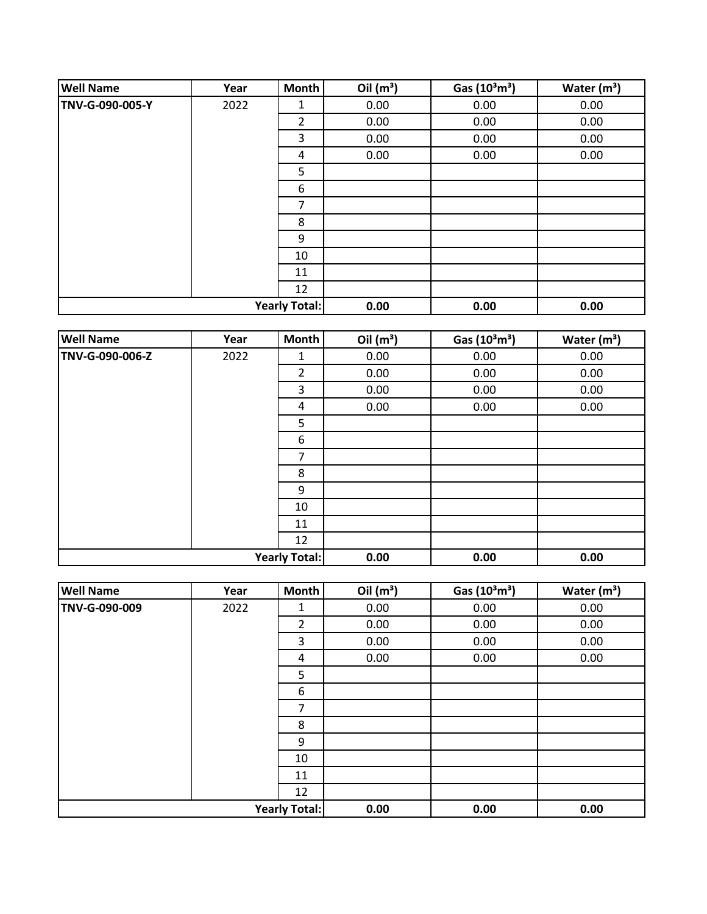| <b>Well Name</b> | Year | Month                | Oil $(m^3)$ | Gas (10 <sup>3</sup> m <sup>3</sup> ) | Water $(m^3)$ |
|------------------|------|----------------------|-------------|---------------------------------------|---------------|
| TNV-G-090-005-Y  | 2022 | 1                    | 0.00        | 0.00                                  | 0.00          |
|                  |      | $\overline{2}$       | 0.00        | 0.00                                  | 0.00          |
|                  |      | 3                    | 0.00        | 0.00                                  | 0.00          |
|                  |      | 4                    | 0.00        | 0.00                                  | 0.00          |
|                  |      | 5                    |             |                                       |               |
|                  |      | 6                    |             |                                       |               |
|                  |      | 7                    |             |                                       |               |
|                  |      | 8                    |             |                                       |               |
|                  |      | 9                    |             |                                       |               |
|                  |      | 10                   |             |                                       |               |
|                  |      | 11                   |             |                                       |               |
|                  |      | 12                   |             |                                       |               |
|                  |      | <b>Yearly Total:</b> | 0.00        | 0.00                                  | 0.00          |

| <b>Well Name</b>     | Year | Month          | Oil $(m^3)$ | Gas (10 <sup>3</sup> m <sup>3</sup> ) | Water $(m^3)$ |
|----------------------|------|----------------|-------------|---------------------------------------|---------------|
| TNV-G-090-006-Z      | 2022 | 1              | 0.00        | 0.00                                  | 0.00          |
|                      |      | $\overline{2}$ | 0.00        | 0.00                                  | 0.00          |
|                      |      | 3              | 0.00        | 0.00                                  | 0.00          |
|                      |      | 4              | 0.00        | 0.00                                  | 0.00          |
|                      |      | 5              |             |                                       |               |
|                      |      | 6              |             |                                       |               |
|                      |      | $\overline{7}$ |             |                                       |               |
|                      |      | 8              |             |                                       |               |
|                      |      | 9              |             |                                       |               |
|                      |      | 10             |             |                                       |               |
|                      |      | 11             |             |                                       |               |
|                      |      | 12             |             |                                       |               |
| <b>Yearly Total:</b> |      |                | 0.00        | 0.00                                  | 0.00          |

| <b>Well Name</b>     | Year | Month          | Oil $(m^3)$ | Gas $(10^3 \text{m}^3)$ | Water $(m^3)$ |
|----------------------|------|----------------|-------------|-------------------------|---------------|
| TNV-G-090-009        | 2022 | 1              | 0.00        | 0.00                    | 0.00          |
|                      |      | $\overline{2}$ | 0.00        | 0.00                    | 0.00          |
|                      |      | 3              | 0.00        | 0.00                    | 0.00          |
|                      |      | 4              | 0.00        | 0.00                    | 0.00          |
|                      |      | 5              |             |                         |               |
|                      |      | 6              |             |                         |               |
|                      |      | 7              |             |                         |               |
|                      |      | 8              |             |                         |               |
|                      |      | 9              |             |                         |               |
|                      |      | 10             |             |                         |               |
|                      |      | 11             |             |                         |               |
|                      |      | 12             |             |                         |               |
| <b>Yearly Total:</b> |      |                | 0.00        | 0.00                    | 0.00          |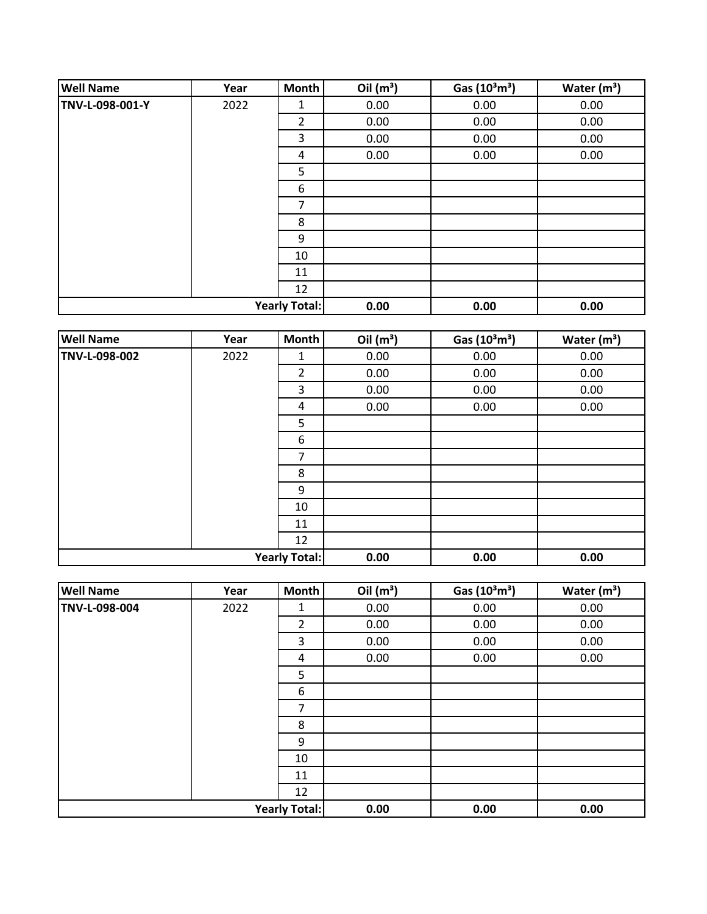| <b>Well Name</b>     | Year | <b>Month</b> | Oil $(m^3)$ | Gas $(10^3 \text{m}^3)$ | Water $(m3)$ |
|----------------------|------|--------------|-------------|-------------------------|--------------|
| TNV-L-098-001-Y      | 2022 | 1            | 0.00        | 0.00                    | 0.00         |
|                      |      | 2            | 0.00        | 0.00                    | 0.00         |
|                      |      | 3            | 0.00        | 0.00                    | 0.00         |
|                      |      | 4            | 0.00        | 0.00                    | 0.00         |
|                      |      | 5            |             |                         |              |
|                      |      | 6            |             |                         |              |
|                      |      | 7            |             |                         |              |
|                      |      | 8            |             |                         |              |
|                      |      | 9            |             |                         |              |
|                      |      | 10           |             |                         |              |
|                      |      | 11           |             |                         |              |
|                      |      | 12           |             |                         |              |
| <b>Yearly Total:</b> |      | 0.00         | 0.00        | 0.00                    |              |

| <b>Well Name</b>     | Year | <b>Month</b>   | Oil $(m^3)$ | Gas $(10^3 \text{m}^3)$ | Water $(m^3)$ |
|----------------------|------|----------------|-------------|-------------------------|---------------|
| TNV-L-098-002        | 2022 | 1              | 0.00        | 0.00                    | 0.00          |
|                      |      | $\overline{2}$ | 0.00        | 0.00                    | 0.00          |
|                      |      | 3              | 0.00        | 0.00                    | 0.00          |
|                      |      | 4              | 0.00        | 0.00                    | 0.00          |
|                      |      | 5              |             |                         |               |
|                      |      | 6              |             |                         |               |
|                      |      | 7              |             |                         |               |
|                      |      | 8              |             |                         |               |
|                      |      | 9              |             |                         |               |
|                      |      | 10             |             |                         |               |
|                      |      | 11             |             |                         |               |
|                      |      | 12             |             |                         |               |
| <b>Yearly Total:</b> |      | 0.00           | 0.00        | 0.00                    |               |

| <b>Well Name</b>     | Year | <b>Month</b>   | Oil $(m^3)$ | Gas $(10^3 \text{m}^3)$ | Water $(m^3)$ |
|----------------------|------|----------------|-------------|-------------------------|---------------|
| TNV-L-098-004        | 2022 | 1              | 0.00        | 0.00                    | 0.00          |
|                      |      | $\overline{2}$ | 0.00        | 0.00                    | 0.00          |
|                      |      | 3              | 0.00        | 0.00                    | 0.00          |
|                      |      | 4              | 0.00        | 0.00                    | 0.00          |
|                      |      | 5              |             |                         |               |
|                      |      | 6              |             |                         |               |
|                      |      | 7              |             |                         |               |
|                      |      | 8              |             |                         |               |
|                      |      | 9              |             |                         |               |
|                      |      | 10             |             |                         |               |
|                      |      | 11             |             |                         |               |
|                      |      | 12             |             |                         |               |
| <b>Yearly Total:</b> |      | 0.00           | 0.00        | 0.00                    |               |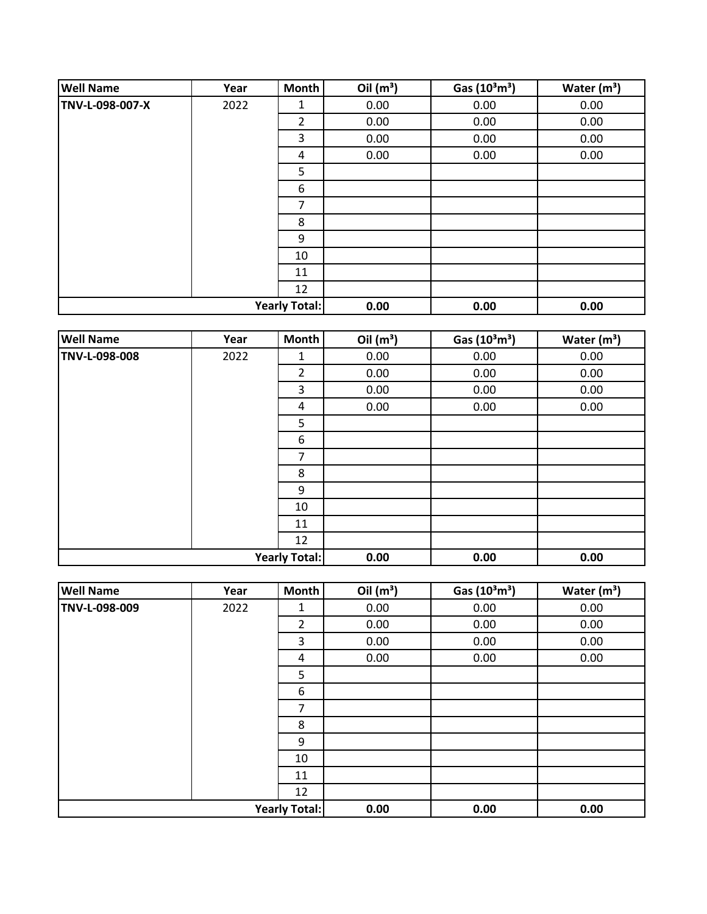| <b>Well Name</b>     | Year | <b>Month</b> | Oil $(m^3)$ | Gas $(10^3 \text{m}^3)$ | Water $(m3)$ |
|----------------------|------|--------------|-------------|-------------------------|--------------|
| TNV-L-098-007-X      | 2022 | 1            | 0.00        | 0.00                    | 0.00         |
|                      |      | 2            | 0.00        | 0.00                    | 0.00         |
|                      |      | 3            | 0.00        | 0.00                    | 0.00         |
|                      |      | 4            | 0.00        | 0.00                    | 0.00         |
|                      |      | 5            |             |                         |              |
|                      |      | 6            |             |                         |              |
|                      |      | 7            |             |                         |              |
|                      |      | 8            |             |                         |              |
|                      |      | 9            |             |                         |              |
|                      |      | 10           |             |                         |              |
|                      |      | 11           |             |                         |              |
|                      |      | 12           |             |                         |              |
| <b>Yearly Total:</b> |      | 0.00         | 0.00        | 0.00                    |              |

| <b>Well Name</b>     | Year | <b>Month</b>   | Oil $(m^3)$ | Gas (10 <sup>3</sup> m <sup>3</sup> ) | Water $(m^3)$ |
|----------------------|------|----------------|-------------|---------------------------------------|---------------|
| TNV-L-098-008        | 2022 | 1              | 0.00        | 0.00                                  | 0.00          |
|                      |      | $\overline{2}$ | 0.00        | 0.00                                  | 0.00          |
|                      |      | 3              | 0.00        | 0.00                                  | 0.00          |
|                      |      | 4              | 0.00        | 0.00                                  | 0.00          |
|                      |      | 5              |             |                                       |               |
|                      |      | 6              |             |                                       |               |
|                      |      | 7              |             |                                       |               |
|                      |      | 8              |             |                                       |               |
|                      |      | 9              |             |                                       |               |
|                      |      | 10             |             |                                       |               |
|                      |      | 11             |             |                                       |               |
|                      |      | 12             |             |                                       |               |
| <b>Yearly Total:</b> |      | 0.00           | 0.00        | 0.00                                  |               |

| <b>Well Name</b>     | Year | <b>Month</b>   | Oil $(m^3)$ | Gas (10 <sup>3</sup> m <sup>3</sup> ) | Water $(m^3)$ |
|----------------------|------|----------------|-------------|---------------------------------------|---------------|
| TNV-L-098-009        | 2022 | 1              | 0.00        | 0.00                                  | 0.00          |
|                      |      | $\overline{2}$ | 0.00        | 0.00                                  | 0.00          |
|                      |      | 3              | 0.00        | 0.00                                  | 0.00          |
|                      |      | 4              | 0.00        | 0.00                                  | 0.00          |
|                      |      | 5              |             |                                       |               |
|                      |      | 6              |             |                                       |               |
|                      |      | 7              |             |                                       |               |
|                      |      | 8              |             |                                       |               |
|                      |      | 9              |             |                                       |               |
|                      |      | 10             |             |                                       |               |
|                      |      | 11             |             |                                       |               |
|                      |      | 12             |             |                                       |               |
| <b>Yearly Total:</b> |      |                | 0.00        | 0.00                                  | 0.00          |